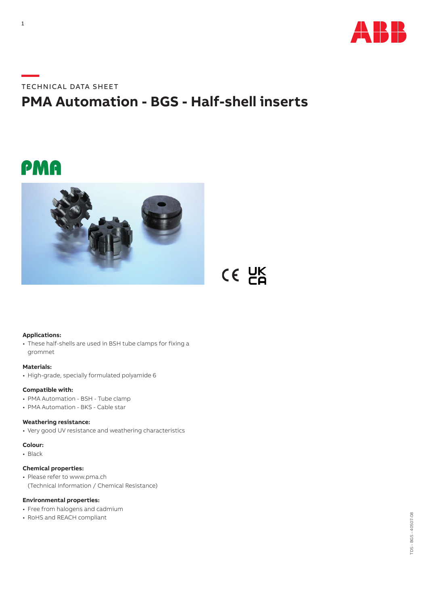

### **—**TECHNICAL DATA SHEET

## **PMA Automation - BGS - Half-shell inserts**

CE UK

# PMA



#### **Applications:**

• These half-shells are used in BSH tube clamps for fixing a grommet

#### **Materials:**

• High-grade, specially formulated polyamide 6

#### **Compatible with:**

- PMA Automation BSH Tube clamp
- PMA Automation BKS Cable star

#### **Weathering resistance:**

• Very good UV resistance and weathering characteristics

#### **Colour:**

• Black

#### **Chemical properties:**

• Please refer to www.pma.ch (Technical Information / Chemical Resistance)

#### **Environmental properties:**

- Free from halogens and cadmium
- RoHS and REACH compliant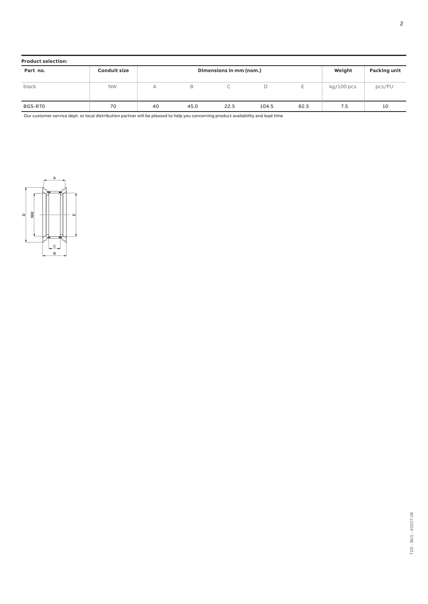| <b>Product selection:</b> |                     |                         |      |      |       |        |                     |        |
|---------------------------|---------------------|-------------------------|------|------|-------|--------|---------------------|--------|
| Part no.                  | <b>Conduit size</b> | Dimensions in mm (nom.) |      |      |       | Weight | <b>Packing unit</b> |        |
| black                     | <b>NW</b>           | А                       | В    | ◡    | D     |        | kg/100 pcs          | pcs/PU |
| BGS-R70                   | 70                  | 40                      | 45.0 | 22.5 | 104.5 | 82.5   | 7.5                 | 10     |

Our customer service dept. or local distribution partner will be pleased to help you concerning product availability and lead time